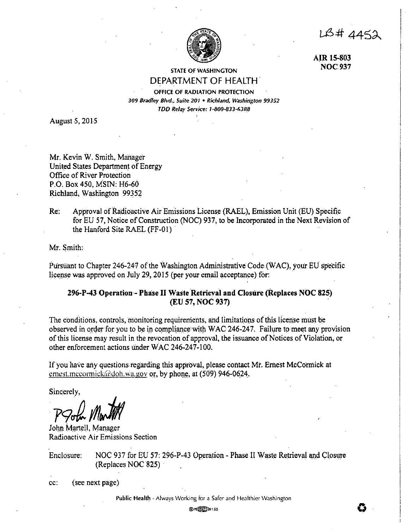1B# 4452



**AJR 15-803 NOC937** 

# STATE OF WASHINGTON DEPARTMENT OF HEALTH.

OFFICE OF RADIATION PROTECTION 309 Bradley Blvd., Suite. 201 • Richland, Washington 99352 TDD Relay Service: 1-800-83.1-63R8

August 5, 2015

Mr. Kevin W. Smith, Manager United States Department of Energy Office of River Protection P.O. Box 450, MSIN: H6-60 Richland, Washington 99352

Re: Approval of Radioactive Air Emissions License (RAEL), Emission Unit (EU) Specific for EU 57, Notice of Construction (NOC) 937, to be Incorporated in the Next Revision of the Hanford Site RAEL (FF-01).

Mr; Smith:

Pursuant to Chapter 246-247 of the Washington Administrative Code (WAC), your EU specific license was approved on July 29, 2015 (per your email acceptance) for:

# **296-P-43 Operation- Phase** II **Waste Retrieval and Closure (Replaces NOC 825) (EU 57, NOC 937)**

The conditions, controls, monitoring requirements, and limitations of this licerise must be observed in order for you to be in compliance with WAC 246-247. Failure to meet any provision of this license may result in the revocation of approval, the issuance of Notices of Violation, or other enforcement actions under WAC 246-247-100.

If you have any questions regarding this approval, please contact Mr. Ernest McCormick at ernest.mccormick@doh.wa.gov or, by phone, at (509) 946-0624.

Sincerely,

 $P$ Pohr *Martill* 

John Martell, Manager Radioactive Air Emissions Section

Enclosure: NOC 937 for EU 57: 296-P-43 Operation - Phase II Waste Retrieval and Closure (Replaces NOC 825) ·

cc: ( see next page)

Public Health - Always Working for a Safer and Healthier Washington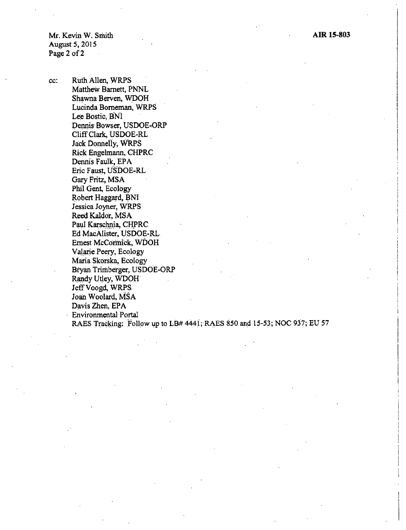Mr. Kevin W. Smith August 5, 2015 Page 2 of 2

cc: Ruth Allen, WRPS Matthew Barnett, PNNL Shawna Serven, WDOH Lucinda Borneman, WRPS Lee Bostic, BNI Dennis Bowser, USDOE-ORP Cliff Clark, USDOE-RL Jack Donnelly, WRPS Rick Engelmann, CHPRC Dennis Faulk, EPA Eric Faust, USDOE-RL Gary Fritz, MSA Phil Gent, Ecology Robert Haggard, BNI Jessica Joyner, WRPS Reed Kaldor, MSA Paul Karschnia, CHPRC Ed MacAlister, USDOE-RL Ernest McCormick, WDOH Valarie Peery, Ecology Maria Skorska, Ecology Bryan Trirnberger, USDOE-ORP Randy Utley, WDOH Jeff Voogd, WRPS Joan Woolard, MSA Davis Zhen, EPA Environmental Portal RAES Tracking: Follow up to LB# 4441; RAES 850 and 15-53; NOC 937; EU 57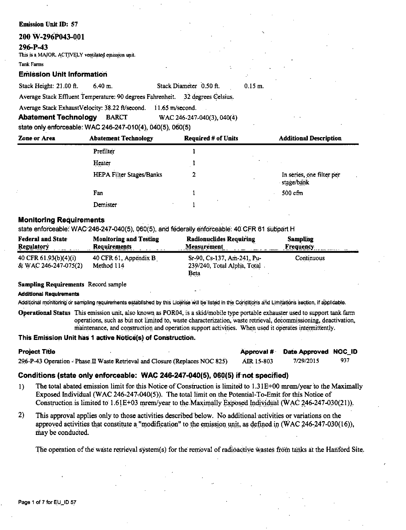# **Emission Unit ID: 57**

# 200 W-296P043-001

# 296-P-43

This is a MAJOR, ACTIVELY ventilated emission unit.

Tank Farme

# **Emission Unit Information**

| Stack Height: 21.00 ft.                                                        | $6.40 \text{ m}$ . | Stack Diameter 0.50 ft. | $0.15$ m. |  |
|--------------------------------------------------------------------------------|--------------------|-------------------------|-----------|--|
| Average Stack Effluent Temperature: 90 degrees Fahrenheit. 32 degrees Celsius. |                    |                         |           |  |

Average Stack ExhaustVelocity: 38.22 ft/second. 11.65 m/second.

**Abatement Technology BARCT** WAC 246-247-040(3), 040(4)

state only enforceable: WAC 246-247-010(4), 040(5), 060(5)

| Zone or Area | <b>Abatement Technology</b> | <b>Required # of Units</b> | <b>Additional Description</b>           |
|--------------|-----------------------------|----------------------------|-----------------------------------------|
|              | Prefilter                   |                            |                                         |
|              | Heater                      |                            |                                         |
|              | HEPA Filter Stages/Banks    | ּ                          | In series, one filter per<br>stage/bank |
|              | Fan                         |                            | $500 \text{ cfm}$                       |
|              | Demister                    |                            |                                         |

# **Monitoring Requirements**

state enforceable: WAC 246-247-040(5), 060(5), and federally enforceable: 40 CFR 61 subpart H

| <b>Federal and State</b><br><b>Regulatory</b> | <b>Monitoring and Testing</b><br><b>Requirements</b> | <b>Radionuclides Requiring</b><br><b>Measurement</b> | Sampling<br><b>Frequency</b> |
|-----------------------------------------------|------------------------------------------------------|------------------------------------------------------|------------------------------|
| 40 CFR $61.93(b)(4)(i)$                       | 40 CFR 61, Appendix $B_1$                            | Sr-90, Cs-137, Am-241, Pu-                           | Continuous                   |
| & WAC 246-247-075(2)                          | Method 114                                           | 239/240, Total Alpha, Total<br>Beta<br><del>.</del>  |                              |

# **Sampling Requirements Record sample**

# **Additional Requirements**

Additional monitoring or sampling requirements established by this License will be listed in the Conditions and Limitations section, if applicable.

Operational Status This emission unit, also known as POR04, is a skid/mobile type portable exhauster used to support tank farm operations, such as but not limited to, waste characterization, waste retrieval, decommissioning, deactivation, maintenance, and construction and operation support activities. When used it operates intermittently.

# This Emission Unit has 1 active Notice(s) of Construction.

| <b>Project Title</b> |                                                                              |            | Approval # Date Approved NOC_ID |     |
|----------------------|------------------------------------------------------------------------------|------------|---------------------------------|-----|
|                      | 296-P-43 Operation - Phase II Waste Retrieval and Closure (Replaces NOC 825) | AIR 15-803 | 7/29/2015                       | 937 |

# Conditions (state only enforceable: WAC 246-247-040(5), 060(5) if not specified)

- The total abated emission limit for this Notice of Construction is limited to 1.31E+00 mrem/year to the Maximally  $1)$ Exposed Individual (WAC 246-247-040(5)). The total limit on the Potential-To-Emit for this Notice of Construction is limited to 1.61E+03 mrem/year to the Maximally Exposed Individual (WAC 246-247-030(21)).
- $2)$ This approval applies only to those activities described below. No additional activities or variations on the approved activities that constitute a "modification" to the emission unit, as defined in (WAC 246-247-030(16)), may be conducted.

The operation of the waste retrieval system(s) for the removal of radioactive wastes from tanks at the Hanford Site.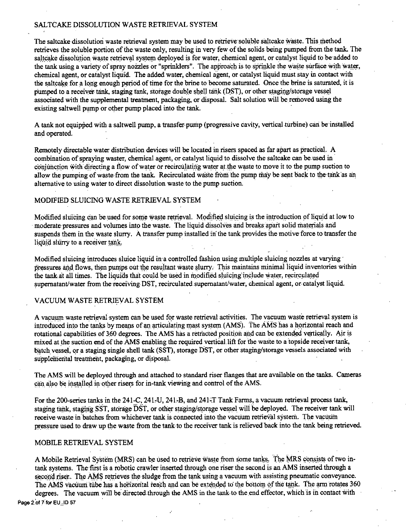# SALTCAKE DISSOLUTION WASTE RETRIEVAL SYSTEM

The saltcake dissolution waste retrieval system may be used to retrieve soluble saltcake waste. This method retrieves the soluble portion of the waste only, resulting in very few of the solids being pumped from the tank. The saltcake dissolution waste retrieval system deployed is for water, chemical agent, or catalyst liquid to be added to the tank using a variety of spray nozzles or "sprinklers". The approach is to sprinkle the waste surface with water, chemical agent, or catalyst liquid. The added water, chemical agent, or catalyst liquid must stay in contact with the saltcake for a long enough period of time for the brine to become saturated. Once the brine is saturated, it is pumped to a receiver tank, staging tank, storage double shell tank (DST), or other s\_taging/storage vessel associated with the supplemental treatment, packaging, or disposal. Salt solution will be removed using the existing saltwell pump or other pump placed into the tank.

A tank not equipped with a saltwell pump, a transfer-pump (progressive cavity, vertical turbine) can be installed and operated.

Remotely directablewater distribution devices will be located in risers spaced as far apart as practical. A combination of spraying waster, chemical agent, or catalyst liquid to dissolve the saltcake can be used in· conjunction with directing a flow of water or recirculating water at the waste to move it to the pump suction to allow the pumping of waste from the tank. Recirculated waste from the pump may be sent back to the tank as an alternative to using water to direct dissolution waste to the pump suction.

# MODIFIED SLUICING WASTE RETRIEVAL SYSTEM

Modified sluicing can be used for some waste retrieval. Modified sluicing is the introduction of liquid at low to moderate pressures and volumes into the waste. The liquid dissolves and breaks apart solid materials and suspends them in the waste slurry. A transfer pump installed in the tank provides the motive force to transfer the liquid slurry to a receiver tank.

Modified sluicing introduces sluice liquid in a controlled fashion using multiple sluicing nozzles at varying pressures and flows, then pumps out the resultant waste slurry. This maintains minimal liquid inventories within the tank at all times. The liquids that could be used in modified sluicing include water, recirculated supernatant/water from the receiving DST, recirculated supernatant/water, chemical agent, or catalyst liquid.

# VACUUM WASTE RETRIEVAL SYSTEM

A vacuum waste retrieval system can be used for waste retrieval activities. The vacuum waste retrieval system is introduced into the tanks by means of an articulating mast system (AMS). The AMS has a horizontal reach and rotational capabilities of 360 degrees. The AMS has a retracted position and can be extended vertically. Air is mixed at the suction end of the AMS enabling the required vertical lift for the waste to a topside receiver tank, batch vessel, or a staging single shell tank (SST), storage DST, or other staging/storage vessels associated with supplemental treatment, packaging, or disposal.

The AMS will be deployed through and attached to standard riser flanges that are available on the tanks. Cameras can also be installed in other risers for in-tank viewing and control of the AMS.

For the 200-series tanks in the 241-C, 241-U, 241-B, and 241-T Tank Farms, a vacuum retrieval process tank, staging tank, staging SST, storage DST, or other staging/storage vessel will be deployed. The receiver tank will receive-waste in batches from whichever tank is connected into the vacuum retrieval system. The vacuum pressure used to draw up the waste from the tank to the receivertankis relieved back into the tank being retrieved.

# MOBILE RETRIEVAL SYSTEM

A Mobile Retrieval System (MRS) can be used to retrieve waste from some tanks. The MRS consists of two intank systems. The first is a robotic crawler inserted.through one riser the second is an AMS inserted through a second riser. The AMS retrieves the sludge from the tank using a vacuum with assisting pneumatic conveyance. The AMS vacuum tube has a horizontal reach and can be extended to the bottom of the tank. The arm rotates 360 degrees. The vacuum will be directed through the AMS in the tank-to the end effector, which is in contact with Page 2 of 7 for EU ID 57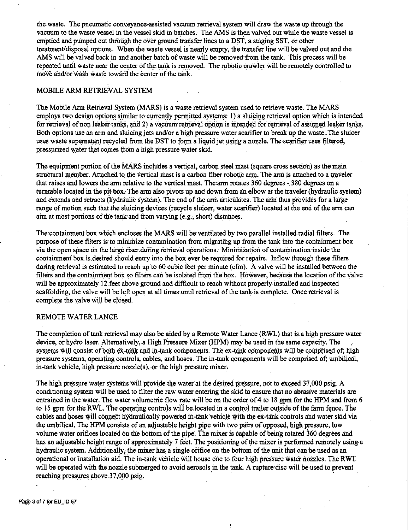the waste. The pneumatic conveyance-assisted vacuum retrieval system will draw the waste up through the vacuum to the waste vessel in the vessel skid in batches. The AMS is then valved out while the waste vessel is emptied and pumped out through the over ground transfer lines to a DST, a staging SST, or other treatment/disposal options. When the waste vessel is nearly empty, the transfer line will be valved out and the AMS will be valved back in and another batch of waste will be removed from the tank. This process will be repeated until waste near the center of the tank is removed. The robotic crawler will be remotely controlled to move and/or wash waste toward the center of the tank.

# MOBILE ARM RETRIEVAL SYSTEM

The Mobile Arm Retrieval System (MARS) is a waste retrieval system used to retrieve waste. The MARS employs two design options similar to currently permitted systems: 1) a sluicing retrieval option which is intended for retrieval of non leaker tanks, and 2) a vacuum retrieval option is intended for retrieval of assumed leaker tanks. Both options use an arm and sluicing jets and/or a high pressure water scarifier to break up the waste. The sluicer uses waste supernatant recycled from the DST to form a liquid jet using a nozzle. The scarifier uses filtered, pressurized water that comes from a high pressure water skid.

The equipment portion of the MARS includes a vertical, carbon steel mast (square cross section) as the main structural member. Attached to the vertical mast is a carbon fiber robotic arm. The arm is attached to a traveler that raises and lowers the arm relative to the vertical mast. The arm rotates 360 degrees - 380 degrees on a turntable located in the pit box. The arm also pivots up and down from an elbow at the traveler (hydraulic system) and extends and retracts (hydraulic system). The end of the arm articulates. The arm thus provides for a large range of motion such that the sluicing devices (recycle sluicer, water scarifier) located at ihe end of the arm can aim at most portions of the tank and from varying (e.g., short) distances.

The containment box which encloses the MARS will be ventilated by two parallel installed radial filters. The purpose of these filters is to minimize contamination from migrating up from the tank into the containment box via the open space on the large riser during retrieval operations. Minimization of contamination inside the containment box is desired should entry into the box ever be required for repairs. Inflow through these filters during retrieval is estimated to reach up to 60 cubic feet per minute (cfm). A valve will be installed between the filters and the containment box so filters can be isolated from the box. However, because the location of the valve will be approximately 12.feet above ground and difficult to reach without properly installed and inspected scaffolding, the valve will be left open at all times until retrieval of the tank-is complete. Once retrieval is complete the valve will be cl\_6sed.

# REMOTE WATER LANCE

The completion of tank retrieval may also be aided by a Remote Water Lance (RWL) that is.ahlgh pressure water device, or hydro laser. Alternatively, a High Pressure Mixer (HPM) may be used in the same capacity. The systems will consist of both  $\acute{e}x$ -tank and in-tank components. The ex-tank components will be comprised of; high pressure systems, operating controls, cables, and hoses. The in-tank components will be comprised of; umbilical, in,tank vehicle, high pressure nozzle(s), or the high pressure mixer.

The high pressure water systems will provide the water at the desired pressure, not to exceed 37,000 psig. A conditioning system will be used to filter the raw water entering the skid to ensure that no abrasive materials are entrained in the water. The water volumetric flow rate will be on the order of 4 to 18 gpm for the HPM and from 6 to 15 gpm for the RWL. The operating controls will be located in a control trailer outside of the farm fence. The cables and hoses will connect hydraulically powered in-tank vehicle with the ex-tank controls and water skid via the umbilical. The HPM consists of an adjustable height pipe with two pairs of opposed, high pressure, low volume water orifices located on the bottom of the pipe. The mixer is capable of being rotated 360 degrees and has an adjustable height range of approximately 7 feet. The positioning of the mixer is performed remotely using a hydraulic system. Additionally; the mixer has a single orifice on the bottom of the unit that can be used as an operational or installation aid. The in-tank vehicle will house one to four high pressure water nozzles. The RWL will be operated with the nozzle submerged to avoid aerosols in the tank. A rupture disc will be used to prevent reaching pressures above 37,000 psig.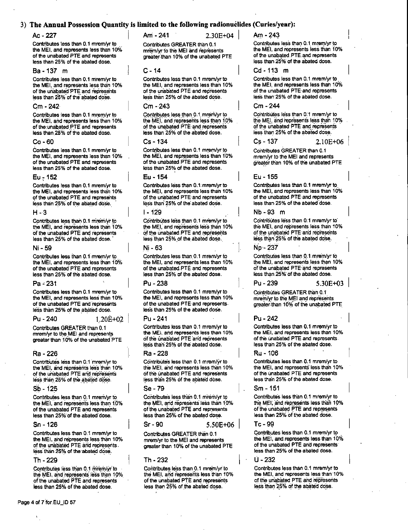# 3) The Annual Possession Quantity is limited to the following radionuclides (Curies/year):

# $Ac - 227$

Contributes less than 0.1 mrem/vr to the MEI, and represents less than 10% of the unabated PTE and represents less than 25% of the abated dose.

# Ba - 137 m

Contributes less than 0.1 mrem/yr to the MEI, and represents less than 10% of the unabated PTE and represents less than 25% of the abated dose.

#### Cm - 242

Contributes less than 0.1 mrem/vr to the MEI, and represents less than 10% of the unabated PTE and represents less than 25% of the abated dose.

## $Co - 60$

Contributes less than 0.1 mrem/yr to the MEI, and represents less than 10% of the unabated PTE and represents less than 25% of the abated dose.

## Eu - 152

Contributes less than 0.1 mrem/yr to the MEI, and represents less than 10% of the unabated PTE and represents less than 25% of the abated dose.

#### $H - 3$

Contributes less than 0.1 mrem/yr to the MEI, and represents less than 10% of the unabated PTE and represents less than 25% of the abated dose.

## Ni - 59

Contributes less than 0.1 mrem/yr to the MEI, and represents less than 10% of the unabated PTE and represents less than 25% of the abated dose.

#### $Pa - 231$

Contributes less than 0.1 mrem/vr to the MEI, and represents less than 10% of the unabated PTE and represents less than 25% of the abated dose.

 $1.20E + 02$ 

#### $P_{11} - 240$

Contributes GREATER than 0.1 mrem/yr to the MEI and represents greater than 10% of the unabated PTE

## Ra - 226

Contributes less than 0.1 mrem/yr to the MEI, and represents less than 10% of the unabated PTE and represents less than 25% of the abated dose.

## Sb - 125

Contributes less than 0.1 mrem/yr to the MEI, and represents less than 10% of the unabated PTE and represents less than 25% of the abated dose.

#### $Sn - 126$

Contributes less than 0.1 mrem/yr to the MEI, and represents less than 10% of the unabated PTE and represents. less than 25% of the abated dose.

#### Th - 229

Contributes less than 0.1 mirem/yr to the MEI, and represents less than 10% of the unabated PTE and represents less than 25% of the abated dose.

Am - 241

 $2.30E + 04$ 

Contributes GREATER than 0.1 mrem/yr to the MEI and represents greater than 10% of the unabated PTE

#### $C - 14$

Contributes less than 0.1 mrem/vr to the MEI, and represents less than 10% of the unabated PTE and represents less than 25% of the abated dose.

# $Cm - 243$

Contributes less than 0.1 mrem/yr to the MEI, and represents less than 10% of the unabated PTE and represents less than 25% of the abated dose.

# $Cs - 134$

Contributes less than 0.1 mrem/yr to the MEI, and represents less than 10% of the unabated PTE and represents less than 25% of the abated dose.

# Eu - 154

Contributes less than 0.1 mrem/yr to the MEI, and represents less than 10% of the unabated PTE and represents less than 25% of the abated dose.

#### I - 129

Contributes less than 0.1 mrem/yr to the MEI, and represents less than 10% of the unabated PTE and represents less than 25% of the abated dose.

## Ni - 63

Contributes less than 0.1 mrem/vr to the MEI, and represents less than 10% of the unabated PTE and represents less than 25% of the abated dose.

# Pu - 238

Contributes less than 0.1 mrem/yr to the MEI, and represents less than 10% of the unabated PTE and represents. less than 25% of the abated dose.

#### Pu - 241

Contributes less than 0.1 mrem/yr to the MEI, and represents less than 10% of the unabated PTE and represents less than 25% of the abated dose.

#### Ra - 228

Contributes less than 0.1 mrem/yr to the MEI, and represents less than 10% of the unabated PTE and represents less than 25% of the abated dose.

#### Se - 79

Contributes less than 0.1 mrem/yr to the MEI, and represents less than 10% of the unabated PTE and represents less than 25% of the abated dose.

#### $Sr-90$

Contributes GREATER than 0.1 mrem/yr to the MEI and represents greater than 10% of the unabated PTE

 $5.50E + 06$ 

## Th - 232

Contributes less than 0.1 mrem/yr to the MEI, and represents less than 10% of the unabated PTE and represents less than 25% of the abated dose.

Am - 243

Contributes less than 0.1 mrem/vr to the MEI, and represents less than 10% of the unabated PTE and represents less than 25% of the abated dose.

## Cd-113 m

Contributes less than 0.1 mrem/vr to the MEI, and represents less than 10% of the unabated PTE and represents less than 25% of the abated dose.

# Cm - 244

Contributes less than 0.1 mrem/vr to the MEI and represents less than 10% of the unabated PTE and represents less than 25% of the abated dose.

Cs - 137

#### $2.10E + 06$

 $5.30E + 03$ 

Contributes GREATER than 0.1 mrem/yr to the MEI and represents greater than 10% of the unabated PTE

## Eu - 155

Contributes less than 0.1 mrem/yr to the MEI, and represents less than 10% of the unabated PTE and represents less than 25% of the abated dose.

## Nb - 93 m

Contributes less than 0.1 mrem/yr to the MEI, and represents less than 10% of the unabated PTE and represents less than 25% of the abated dose.

## No - 237

Contributes less than 0.1 mrem/yr to the MEI, and represents less than 10% of the unabated PTE and represents less than 25% of the abated dose.

# Pu - 239

Contributes GREATER than 0.1 mrem/yr to the MEI and represents greater than 10% of the unabated PTE

## Pu - 242

Contributes less than 0.1 mrem/yr to the MEI, and represents less than 10% of the unabated PTE and represents. less than 25% of the abated dose.

the MEI, and represents less than 10% of the unabated PTE and represents less than 25% of the abated dose.

## Sm - 151

Contributes less than 0.1 mrem/yr to the MEI, and represents less than 10% of the unabated PTE and represents less than 25% of the abated dose.

## $Tc - 99$

Contributes less than 0.1 mrem/yr to the MEI, and represents less than 10% of the unabated PTE and represents less than 25% of the abated dose.

II - 232

Contributes less than 0.1 mrem/yr to the MEI, and represents less than 10% of the unabated PTE and represents less than 25% of the abated dose.

Ru - 106

Contributes less than 0.1 mrem/vr to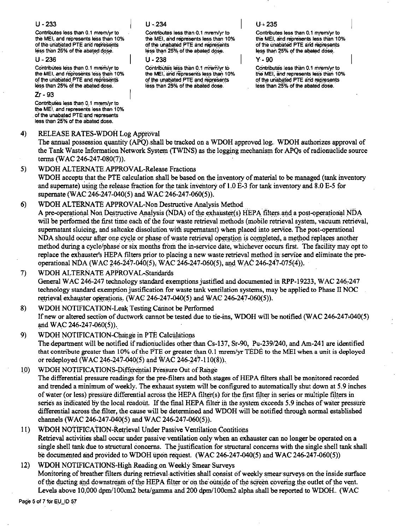# $U - 233$

Contributes less than 0.1 mrembr to the MEI, and represents less than 10% of the unabated PTE and represents less than 25% of the abated dose.

 $U - 236$ 

Contributes less than 0.1 mrem/vr to the MEI, and represents less than 10% of the unabated PTE and represents less than 25% of the abated dose.

# $7r - 93$

Contributes less than 0.1 mrem/vr to the MEI, and represents less than 10% of the unabated PTE and represents less than 25% of the abated dose.

#### $4)$ RELEASE RATES-WDOH Log Approval

The annual possession quantity (APO) shall be tracked on a WDOH approved log. WDOH authorizes approval of the Tank Waste Information Network System (TWINS) as the logging mechanism for APOs of radionuclide source terms (WAC 246-247-080(7)).

#### $5)$ WDOH ALTERNATE APPROVAL-Release Fractions

WDOH accepts that the PTE calculation shall be based on the inventory of material to be managed (tank inventory and supernate) using the release fraction for the tank inventory of 1.0 E-3 for tank inventory and 8.0 E-5 for supernate (WAC:246-247-040(5) and WAC:246-247-060(5)).

#### WDOH ALTERNATE APPROVAL-Non Destructive Analysis Method  $6)$

A pre-operational Non Destructive Analysis (NDA) of the exhauster(s) HEPA filters and a post-operational NDA will be performed the first time each of the four waste retrieval methods (mobile retrieval system, vacuum retrieval, supernatant sluicing, and saltcake dissolution with supernatant) when placed into service. The post-operational NDA should occur after one cycle or phase of waste retrieval operation is completed, a method replaces another method during a cycle/phase or six months from the in-service date, whichever occurs first. The facility may opt to replace the exhauster's HEPA filters prior to placing a new waste retrieval method in service and eliminate the preoperational NDA (WAC 246-247-040(5), WAC 246-247-060(5), and WAC 246-247-075(4)).

WDOH ALTERNATE APPROVAL-Standards  $7)$ General WAC 246-247 technology standard exemptions justified and documented in RPP-19233, WAC 246-247 technology standard exemption justification for waste tank ventilation systems, may be applied to Phase II NOC retrieval exhauster operations. (WAC 246-247-040(5) and WAC 246-247-060(5)).

## 8) WDOH NOTIFICATION-Leak Testing Cannot be Performed If new or altered section of ductwork cannot be tested due to tie-ins, WDOH will be notified (WAC 246-247-040(5) and WAC 246-247-060(5)).

- 9) WDOH NOTIFICATION-Change in PTE Calculations The department will be notified if radionuclides other than Cs-137, Sr-90, Pu-239/240, and Am-241 are identified that contribute greater than 10% of the PTE or greater than 0.1 mrem/yr TEDE to the MEI when a unit is deployed or redeployed (WAC 246-247-040(5) and WAC 246-247-110(8)).
- $10<sub>1</sub>$ WDOH NOTIFICATIONS-Differential Pressure Out of Range The differential pressure readings for the pre-filters and both stages of HEPA filters shall be monitored recorded and trended a minimum of weekly. The exhaust system will be configured to automatically shut down at 5.9 inches of water (or less) pressure differential across the HEPA filter(s) for the first filter in series or multiple filters in series as indicated by the local readout. If the final HEPA filter in the system exceeds 5.9 inches of water pressure differential across the filter, the cause will be determined and WDOH will be notified through normal established channels (WAC 246-247-040(5) and WAC 246-247-060(5)).
- WDOH NOTIFICATION-Retrieval Under Passive Ventilation Contitions  $11)$ Retrieval activities shall occur under passive ventilation only when an exhauster can no longer be operated on a single shell tank due to structural concerns. The justification for structural concerns with the single shell tank shall be documented and provided to WDOH upon request. (WAC 246-247-040(5) and WAC 246-247-060(5))

# $12)$ WDOH NOTIFICATIONS-High Reading on Weekly Smear-Surveys Monitoring of breather filters during retrieval activities shall consist of weekly smear surveys on the inside surface of the ducting and downstream of the HEPA filter or on the outside of the screen covering the outlet of the vent. Levels above 10,000 dpm/100cm2 beta/gamma and 200 dpm/100cm2 alpha shall be reported to WDOH. (WAC

Page 5 of 7 for EU\_ID 57

# $U - 234$

Contributes less than 0.1 mrsm/ur to the MEI, and represents less than 10% of the unabated PTE and represents less than 25% of the abated dose.

 $11 - 238$ 

Contributes less than 0.1 mrem/vr to the MEI, and represents less than 10% of the unabated PTE and represents less than 25% of the abated dose.

# $U - 235$

Contributes less than 0.1 mrem/vr to the MEI, and represents less than 10% of the unabated PTE and represents less than 25% of the abated dose.

y. an

Contributes less than 0.1 minute to the MEI, and represents less than 10% of the unabated PTE and represents less than 25% of the abated dose.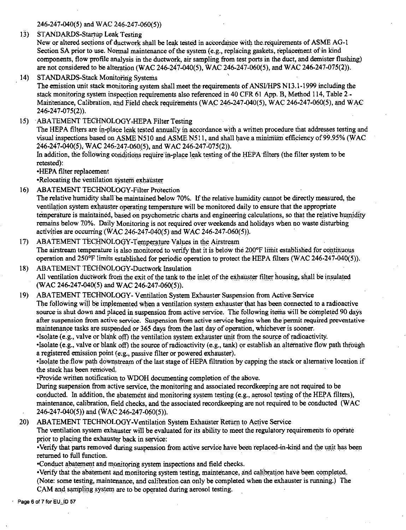246-247-040(5) and WAC 246-247-060(5))

13) STANDARDS-Startup Leak Testing

New or altered sections of ductwork shall be leak tested in accordance with the requirements of ASME AG-1 Section SA prior to use. Normal maintenance of the system (e.g., replacing gaskets, replacement of in kind components, flow profile analysis in the ductwork, air sampling from test ports in the duct, and demister flushing) are not considered to be alteration (WAC 246-247-040(5), WAC 246-247-060(5), and WAC 246-247-075(2)).

STANDARDS-Stack Monitoring Systems  $14)$ 

The emission unit stack monitoring system shall meet the requirements of ANSI/HPS N13.1-1999 including the stack monitoring system inspection requirements also referenced in 40 CFR 61 App. B, Method 114, Table 2.-Maintenance, Calibration, and Field check requirements (WAC 246-247-040(5), WAC 246-247-060(5), and WAC 246-247-075(2)).

15) ABATEMENT TECHNOLOGY-HEPA Filter Testing

The HEPA filters are in-place leak tested annually in accordance with a written procedure that addresses testing and visual inspections based on ASME N510 and ASME N511, and shall have a minimum efficiency of 99.95% (WAC 246-247-040(5), WAC 246-247-060(5), and WAC 246-247-075(2)).

In addition, the following conditions require in-place leak testing of the HEPA filters (the filter system to be retested):

•HEPA filter replacement

•Relocating the ventilation system exhauster

- **ABATEMENT TECHNOLOGY-Filter Protection**  $16<sub>1</sub>$ The relative humidity shall be maintained below 70%. If the relative humidity cannot be directly measured, the ventilation system exhauster operating temperature will be monitored daily to ensure that the appropriate temperature is maintained, based on psychometric charts and engineering calculations, so that the relative humidity remains below 70%. Daily Monitoring is not required over weekends and holidays when no waste disturbing activities are occurring (WAC 246-247-040(5) and WAC 246-247-060(5)).
- ABATEMENT TECHNOLOGY-Temperature Values in the Airstream  $17<sub>1</sub>$ The airstream temperature is also monitored to verify that it is below the 200°F limit established for continuous operation and  $250^{\circ}$ F limits established for periodic operation to protect the HEPA filters (WAC 246-247-040(5)).
- ABATEMENT TECHNOLOGY-Ductwork Insulation  $18)$ All ventilation ductwork from the exit of the tank to the inlet of the exhauster filter housing, shall be insulated (WAC 246-247-040(5) and WAC 246-247-060(5)).
- ABATEMENT TECHNOLOGY- Ventilation System Exhauster Suspension from Active Service  $19)$ The following will be implemented when a ventilation system exhauster that has been connected to a radioactive source is shut down and placed in suspension from active service. The following items will be completed 90 days after suspension from active service. Suspension from active service begins when the permit required preventative maintenance tasks are suspended or 365 days from the last day of operation, whichever is sooner.

. Isolate (e.g., valve or blank off) the ventilation system exhauster unit from the source of radioactivity. •Isolate (e.g., valve or blank off) the source of radioactivity (e.g., tank) or establish an alternative flow path through a registered emission point (e.g., passive filter or powered exhauster).

•Isolate the flow path downstream of the last stage of HEPA filtration by capping the stack or alternative location if the stack has been removed.

•Provide written notification to WDOH documenting completion of the above.

During suspension from active service, the monitoring and associated recordkeeping are not required to be conducted. In addition, the abatement and monitoring system testing (e.g., aerosol testing of the HEPA filters), maintenance, calibration, field checks, and the associated recordkeeping are not required to be conducted (WAC 246-247-040(5)) and (WAC 246-247-060(5)).

ABATEMENT TECHNOLOGY-Ventilation System Exhauster Return to Active Service. 20)

The ventilation system exhauster will be evaluated for its ability to meet the regulatory requirements to operate prior to placing the exhauster back in service:

•Verify that parts removed during suspension from active service have been replaced-in-kind and the unit has been returned to full function.

•Conduct abatement and monitoring system inspections and field checks.

•Verify that the abatement and monitoring system testing, maintenance, and calibration have been completed. (Note: some testing, maintenance, and calibration can only be completed when the exhauster is running.) The CAM and sampling system are to be operated during aerosol testing.